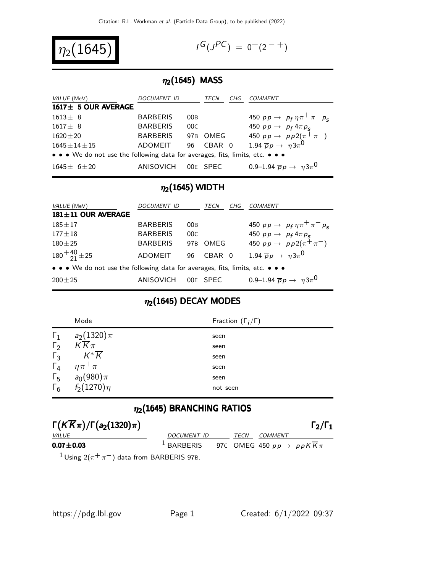

$$
I^G(J^{PC}) = 0^+(2^{-+})
$$

#### $\eta_2(1645)$  MASS

| VALUE (MeV)                                                                   | DOCUMENT ID     |                 | TECN     | CHG | <b>COMMENT</b>                                                                                    |
|-------------------------------------------------------------------------------|-----------------|-----------------|----------|-----|---------------------------------------------------------------------------------------------------|
| 1617± 5 OUR AVERAGE                                                           |                 |                 |          |     |                                                                                                   |
| $1613 \pm 8$                                                                  | <b>BARBERIS</b> | 00B             |          |     | 450 $pp \to p_f \eta \pi^+ \pi^- p_s$                                                             |
| $1617 \pm 8$                                                                  | <b>BARBERIS</b> | 00C             |          |     |                                                                                                   |
| $1620 \pm 20$                                                                 | <b>BARBERIS</b> | 97 <sub>B</sub> | OMEG     |     | 450 $pp \to p_f 4\pi p_s$<br>450 $pp \to pp2(\pi^+\pi^-)$<br>1.94 $\overline{p}p \to \eta 3\pi^0$ |
| $1645 \pm 14 \pm 15$                                                          | ADOMEIT         | 96              | CBAR 0   |     |                                                                                                   |
| • • • We do not use the following data for averages, fits, limits, etc. • • • |                 |                 |          |     |                                                                                                   |
| $1645 \pm 6 \pm 20$                                                           | ANISOVICH       |                 | OOE SPEC |     | 0.9–1.94 $\bar{p}p \to \eta 3\pi^{0}$                                                             |

## $\eta_2(1645)$  WIDTH

| VALUE (MeV)                                                                   | DOCUMENT ID     |     | TECN     | CHG | COMMENT                                                                     |
|-------------------------------------------------------------------------------|-----------------|-----|----------|-----|-----------------------------------------------------------------------------|
| 181±11 OUR AVERAGE                                                            |                 |     |          |     |                                                                             |
| $185 + 17$                                                                    | <b>BARBERIS</b> | 00B |          |     | 450 $pp \to p_f \eta \pi^+ \pi^- p_s$                                       |
| $177 \pm 18$                                                                  | <b>BARBERIS</b> | 00C |          |     | 450 $pp \rightarrow p_f 4 \pi p_s$<br>450 $pp \rightarrow pp2(\pi^+ \pi^-)$ |
| $180 + 25$                                                                    | <b>BARBERIS</b> | 97B | OMEG     |     |                                                                             |
| $180 + \frac{40}{21} \pm 25$                                                  | <b>ADOMEIT</b>  | 96  | CBAR 0   |     | 1.94 $\overline{p}p \rightarrow \eta 3\pi^{0}$                              |
| • • • We do not use the following data for averages, fits, limits, etc. • • • |                 |     |          |     |                                                                             |
| $200 + 25$                                                                    | ANISOVICH       |     | 00E SPEC |     | 0.9–1.94 $\bar{p}p \to \eta 3\pi^{0}$                                       |

## $\eta_2(1645)$  DECAY MODES

|            | Mode               | Fraction $(\Gamma_i/\Gamma)$ |
|------------|--------------------|------------------------------|
| $\Gamma_1$ | $a_2(1320)\pi$     | seen                         |
| $\Gamma_2$ | $K\overline{K}\pi$ | seen                         |
| $\Gamma_3$ | $K^*\overline{K}$  | seen                         |
| $\Gamma_4$ | $\eta \pi^+ \pi^-$ | seen                         |
| $\Gamma_5$ | $a_0(980)\pi$      | seen                         |
| $\Gamma_6$ | $f_2(1270)\eta$    | not seen                     |

## $\eta_2(1645)$  BRANCHING RATIOS

| $\Gamma(K\overline{K}\pi)/\Gamma(a_2(1320)\pi)$            |                                                                        |      |                | $\Gamma_2/\Gamma_1$ |
|------------------------------------------------------------|------------------------------------------------------------------------|------|----------------|---------------------|
| <i>VALUE</i>                                               | DOCUMENT ID                                                            | TECN | <i>COMMENT</i> |                     |
| $0.07 \pm 0.03$                                            | <sup>1</sup> BARBERIS 97C OMEG 450 $pp \rightarrow ppK\overline{K}\pi$ |      |                |                     |
| <sup>1</sup> Using $2(\pi^+\pi^-)$ data from BARBERIS 97B. |                                                                        |      |                |                     |